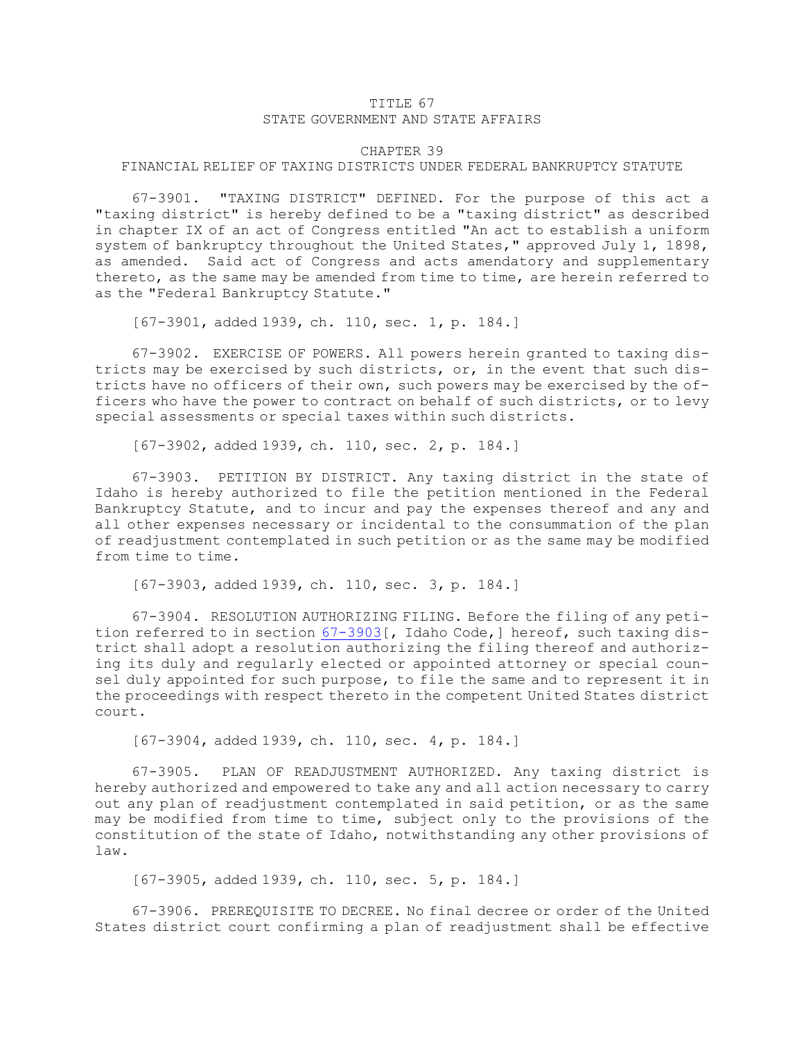## TITLE 67 STATE GOVERNMENT AND STATE AFFAIRS

## CHAPTER 39

## FINANCIAL RELIEF OF TAXING DISTRICTS UNDER FEDERAL BANKRUPTCY STATUTE

67-3901. "TAXING DISTRICT" DEFINED. For the purpose of this act <sup>a</sup> "taxing district" is hereby defined to be <sup>a</sup> "taxing district" as described in chapter IX of an act of Congress entitled "An act to establish <sup>a</sup> uniform system of bankruptcy throughout the United States," approved July 1, 1898, as amended. Said act of Congress and acts amendatory and supplementary thereto, as the same may be amended from time to time, are herein referred to as the "Federal Bankruptcy Statute."

[67-3901, added 1939, ch. 110, sec. 1, p. 184.]

67-3902. EXERCISE OF POWERS. All powers herein granted to taxing districts may be exercised by such districts, or, in the event that such districts have no officers of their own, such powers may be exercised by the officers who have the power to contract on behalf of such districts, or to levy special assessments or special taxes within such districts.

[67-3902, added 1939, ch. 110, sec. 2, p. 184.]

67-3903. PETITION BY DISTRICT. Any taxing district in the state of Idaho is hereby authorized to file the petition mentioned in the Federal Bankruptcy Statute, and to incur and pay the expenses thereof and any and all other expenses necessary or incidental to the consummation of the plan of readjustment contemplated in such petition or as the same may be modified from time to time.

[67-3903, added 1939, ch. 110, sec. 3, p. 184.]

67-3904. RESOLUTION AUTHORIZING FILING. Before the filing of any petition referred to in section [67-3903](https://legislature.idaho.gov/statutesrules/idstat/Title67/T67CH39/SECT67-3903)[, Idaho Code,] hereof, such taxing district shall adopt <sup>a</sup> resolution authorizing the filing thereof and authorizing its duly and regularly elected or appointed attorney or special counsel duly appointed for such purpose, to file the same and to represent it in the proceedings with respect thereto in the competent United States district court.

[67-3904, added 1939, ch. 110, sec. 4, p. 184.]

67-3905. PLAN OF READJUSTMENT AUTHORIZED. Any taxing district is hereby authorized and empowered to take any and all action necessary to carry out any plan of readjustment contemplated in said petition, or as the same may be modified from time to time, subject only to the provisions of the constitution of the state of Idaho, notwithstanding any other provisions of law.

[67-3905, added 1939, ch. 110, sec. 5, p. 184.]

67-3906. PREREQUISITE TO DECREE. No final decree or order of the United States district court confirming <sup>a</sup> plan of readjustment shall be effective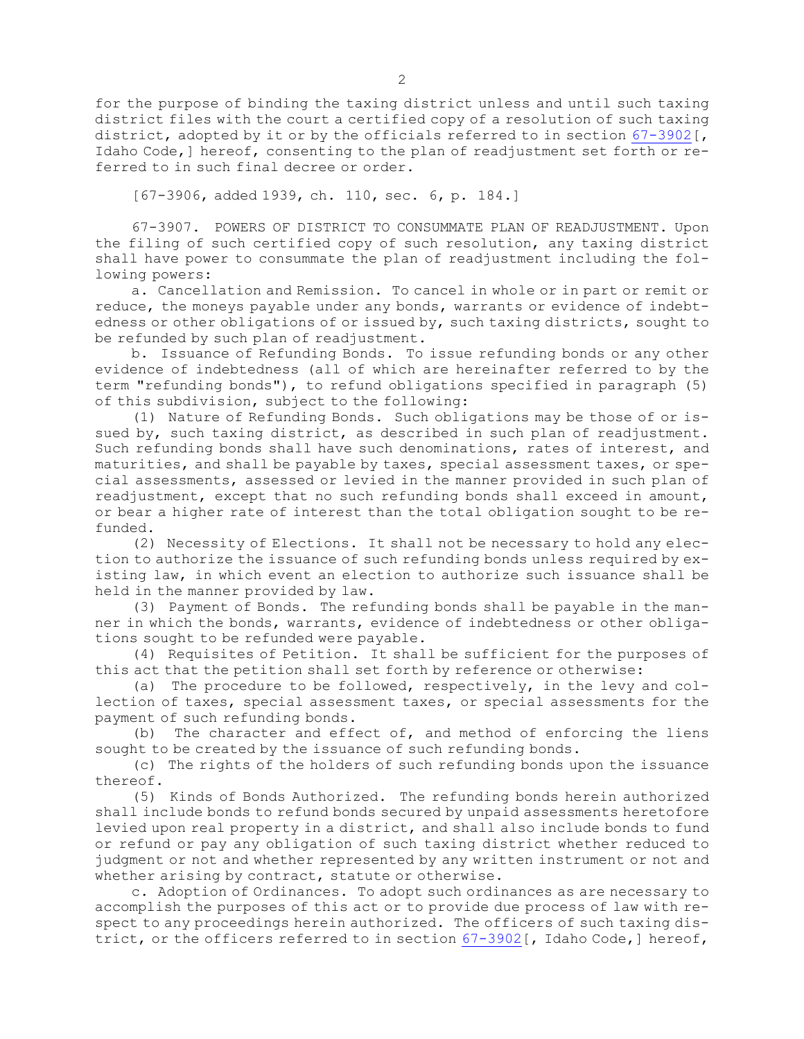for the purpose of binding the taxing district unless and until such taxing district files with the court <sup>a</sup> certified copy of <sup>a</sup> resolution of such taxing district, adopted by it or by the officials referred to in section [67-3902](https://legislature.idaho.gov/statutesrules/idstat/Title67/T67CH39/SECT67-3902)[, Idaho Code,] hereof, consenting to the plan of readjustment set forth or referred to in such final decree or order.

[67-3906, added 1939, ch. 110, sec. 6, p. 184.]

67-3907. POWERS OF DISTRICT TO CONSUMMATE PLAN OF READJUSTMENT. Upon the filing of such certified copy of such resolution, any taxing district shall have power to consummate the plan of readjustment including the following powers:

a. Cancellation and Remission. To cancel in whole or in part or remit or reduce, the moneys payable under any bonds, warrants or evidence of indebtedness or other obligations of or issued by, such taxing districts, sought to be refunded by such plan of readjustment.

b. Issuance of Refunding Bonds. To issue refunding bonds or any other evidence of indebtedness (all of which are hereinafter referred to by the term "refunding bonds"), to refund obligations specified in paragraph (5) of this subdivision, subject to the following:

(1) Nature of Refunding Bonds. Such obligations may be those of or issued by, such taxing district, as described in such plan of readjustment. Such refunding bonds shall have such denominations, rates of interest, and maturities, and shall be payable by taxes, special assessment taxes, or special assessments, assessed or levied in the manner provided in such plan of readjustment, except that no such refunding bonds shall exceed in amount, or bear <sup>a</sup> higher rate of interest than the total obligation sought to be refunded.

(2) Necessity of Elections. It shall not be necessary to hold any election to authorize the issuance of such refunding bonds unless required by existing law, in which event an election to authorize such issuance shall be held in the manner provided by law.

(3) Payment of Bonds. The refunding bonds shall be payable in the manner in which the bonds, warrants, evidence of indebtedness or other obligations sought to be refunded were payable.

(4) Requisites of Petition. It shall be sufficient for the purposes of this act that the petition shall set forth by reference or otherwise:

(a) The procedure to be followed, respectively, in the levy and collection of taxes, special assessment taxes, or special assessments for the payment of such refunding bonds.

(b) The character and effect of, and method of enforcing the liens sought to be created by the issuance of such refunding bonds.

(c) The rights of the holders of such refunding bonds upon the issuance thereof.

(5) Kinds of Bonds Authorized. The refunding bonds herein authorized shall include bonds to refund bonds secured by unpaid assessments heretofore levied upon real property in <sup>a</sup> district, and shall also include bonds to fund or refund or pay any obligation of such taxing district whether reduced to judgment or not and whether represented by any written instrument or not and whether arising by contract, statute or otherwise.

c. Adoption of Ordinances. To adopt such ordinances as are necessary to accomplish the purposes of this act or to provide due process of law with respect to any proceedings herein authorized. The officers of such taxing district, or the officers referred to in section [67-3902](https://legislature.idaho.gov/statutesrules/idstat/Title67/T67CH39/SECT67-3902)[, Idaho Code,] hereof,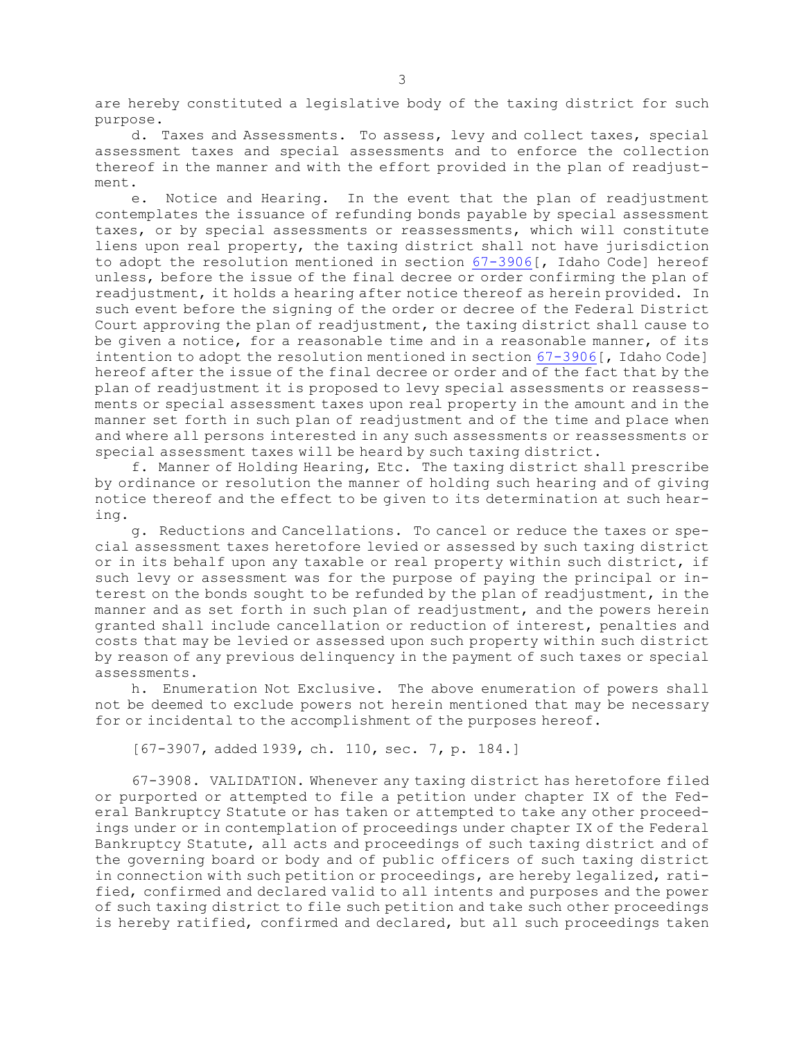are hereby constituted <sup>a</sup> legislative body of the taxing district for such purpose.

d. Taxes and Assessments. To assess, levy and collect taxes, special assessment taxes and special assessments and to enforce the collection thereof in the manner and with the effort provided in the plan of readjustment.

e. Notice and Hearing. In the event that the plan of readjustment contemplates the issuance of refunding bonds payable by special assessment taxes, or by special assessments or reassessments, which will constitute liens upon real property, the taxing district shall not have jurisdiction to adopt the resolution mentioned in section [67-3906](https://legislature.idaho.gov/statutesrules/idstat/Title67/T67CH39/SECT67-3906)[, Idaho Code] hereof unless, before the issue of the final decree or order confirming the plan of readjustment, it holds <sup>a</sup> hearing after notice thereof as herein provided. In such event before the signing of the order or decree of the Federal District Court approving the plan of readjustment, the taxing district shall cause to be given <sup>a</sup> notice, for <sup>a</sup> reasonable time and in <sup>a</sup> reasonable manner, of its intention to adopt the resolution mentioned in section [67-3906](https://legislature.idaho.gov/statutesrules/idstat/Title67/T67CH39/SECT67-3906)[, Idaho Code] hereof after the issue of the final decree or order and of the fact that by the plan of readjustment it is proposed to levy special assessments or reassessments or special assessment taxes upon real property in the amount and in the manner set forth in such plan of readjustment and of the time and place when and where all persons interested in any such assessments or reassessments or special assessment taxes will be heard by such taxing district.

f. Manner of Holding Hearing, Etc. The taxing district shall prescribe by ordinance or resolution the manner of holding such hearing and of giving notice thereof and the effect to be given to its determination at such hearing.

g. Reductions and Cancellations. To cancel or reduce the taxes or special assessment taxes heretofore levied or assessed by such taxing district or in its behalf upon any taxable or real property within such district, if such levy or assessment was for the purpose of paying the principal or interest on the bonds sought to be refunded by the plan of readjustment, in the manner and as set forth in such plan of readjustment, and the powers herein granted shall include cancellation or reduction of interest, penalties and costs that may be levied or assessed upon such property within such district by reason of any previous delinquency in the payment of such taxes or special assessments.

h. Enumeration Not Exclusive. The above enumeration of powers shall not be deemed to exclude powers not herein mentioned that may be necessary for or incidental to the accomplishment of the purposes hereof.

[67-3907, added 1939, ch. 110, sec. 7, p. 184.]

67-3908. VALIDATION. Whenever any taxing district has heretofore filed or purported or attempted to file <sup>a</sup> petition under chapter IX of the Federal Bankruptcy Statute or has taken or attempted to take any other proceedings under or in contemplation of proceedings under chapter IX of the Federal Bankruptcy Statute, all acts and proceedings of such taxing district and of the governing board or body and of public officers of such taxing district in connection with such petition or proceedings, are hereby legalized, ratified, confirmed and declared valid to all intents and purposes and the power of such taxing district to file such petition and take such other proceedings is hereby ratified, confirmed and declared, but all such proceedings taken